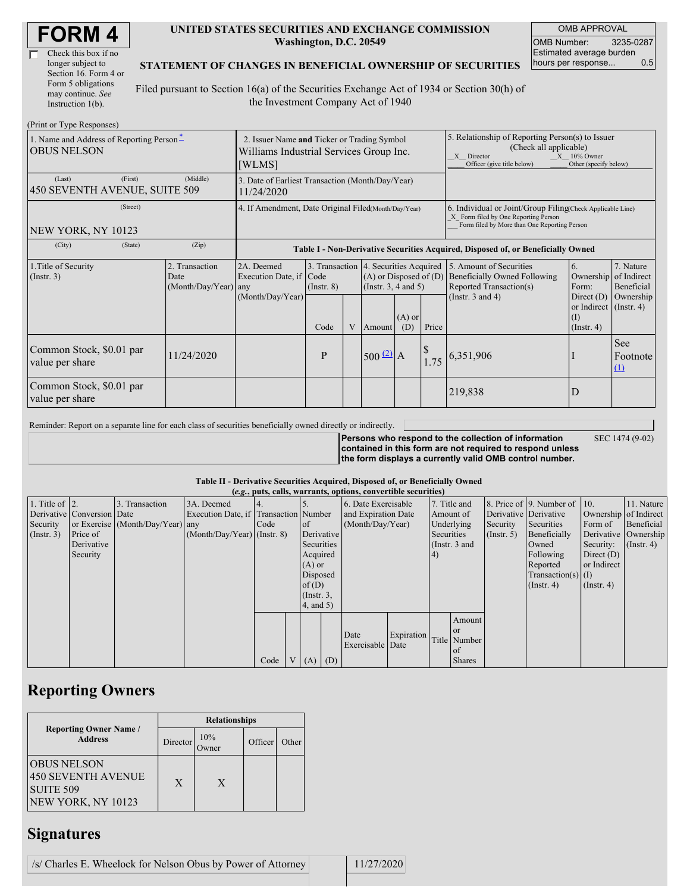| <b>FORM4</b> |
|--------------|
|--------------|

| Check this box if no  |
|-----------------------|
| longer subject to     |
| Section 16. Form 4 or |
| Form 5 obligations    |
| may continue. See     |
| Instruction 1(b).     |

#### **UNITED STATES SECURITIES AND EXCHANGE COMMISSION Washington, D.C. 20549**

OMB APPROVAL OMB Number: 3235-0287 Estimated average burden hours per response... 0.5

#### **STATEMENT OF CHANGES IN BENEFICIAL OWNERSHIP OF SECURITIES**

Filed pursuant to Section 16(a) of the Securities Exchange Act of 1934 or Section 30(h) of the Investment Company Act of 1940

| (Print or Type Responses)                                      |                                                                                                  |                                                                                  |                 |   |                                                                                                             |     |                                                                                                                                                                     |                                                                                                             |                                                                                       |                                      |
|----------------------------------------------------------------|--------------------------------------------------------------------------------------------------|----------------------------------------------------------------------------------|-----------------|---|-------------------------------------------------------------------------------------------------------------|-----|---------------------------------------------------------------------------------------------------------------------------------------------------------------------|-------------------------------------------------------------------------------------------------------------|---------------------------------------------------------------------------------------|--------------------------------------|
| 1. Name and Address of Reporting Person-<br><b>OBUS NELSON</b> | 2. Issuer Name and Ticker or Trading Symbol<br>Williams Industrial Services Group Inc.<br>[WLMS] |                                                                                  |                 |   |                                                                                                             |     | 5. Relationship of Reporting Person(s) to Issuer<br>(Check all applicable)<br>X Director<br>$X = 10\%$ Owner<br>Officer (give title below)<br>Other (specify below) |                                                                                                             |                                                                                       |                                      |
| (First)<br>(Last)<br>450 SEVENTH AVENUE, SUITE 509             | 3. Date of Earliest Transaction (Month/Day/Year)<br>11/24/2020                                   |                                                                                  |                 |   |                                                                                                             |     |                                                                                                                                                                     |                                                                                                             |                                                                                       |                                      |
| (Street)<br>NEW YORK, NY 10123                                 | 4. If Amendment, Date Original Filed(Month/Day/Year)                                             |                                                                                  |                 |   |                                                                                                             |     | 6. Individual or Joint/Group Filing Check Applicable Line)<br>X Form filed by One Reporting Person<br>Form filed by More than One Reporting Person                  |                                                                                                             |                                                                                       |                                      |
| (City)<br>(State)                                              | (Zip)                                                                                            | Table I - Non-Derivative Securities Acquired, Disposed of, or Beneficially Owned |                 |   |                                                                                                             |     |                                                                                                                                                                     |                                                                                                             |                                                                                       |                                      |
| 1. Title of Security<br>$($ Instr. 3 $)$                       | 2. Transaction<br>Date<br>(Month/Day/Year) any                                                   | 2A. Deemed<br>Execution Date, if Code<br>(Month/Day/Year)                        | $($ Instr. $8)$ |   | 3. Transaction 4. Securities Acquired<br>$(A)$ or Disposed of $(D)$<br>(Instr. $3, 4$ and $5$ )<br>$(A)$ or |     |                                                                                                                                                                     | 5. Amount of Securities<br>Beneficially Owned Following<br>Reported Transaction(s)<br>(Instr. $3$ and $4$ ) | 6.<br>Ownership of Indirect<br>Form:<br>Direct $(D)$<br>or Indirect (Instr. 4)<br>(1) | 7. Nature<br>Beneficial<br>Ownership |
|                                                                |                                                                                                  |                                                                                  | Code            | V | Amount                                                                                                      | (D) | Price                                                                                                                                                               |                                                                                                             | $($ Instr. 4 $)$                                                                      |                                      |
| Common Stock, \$0.01 par<br>value per share                    | 11/24/2020                                                                                       |                                                                                  | P               |   | $500^{2}$ A                                                                                                 |     | 1.75                                                                                                                                                                | 6,351,906                                                                                                   |                                                                                       | See<br>Footnote<br>(1)               |
| Common Stock, \$0.01 par<br>value per share                    |                                                                                                  |                                                                                  |                 |   |                                                                                                             |     |                                                                                                                                                                     | 219,838                                                                                                     | D                                                                                     |                                      |

Reminder: Report on a separate line for each class of securities beneficially owned directly or indirectly.

**Persons who respond to the collection of information contained in this form are not required to respond unless the form displays a currently valid OMB control number.**

SEC 1474 (9-02)

**Table II - Derivative Securities Acquired, Disposed of, or Beneficially Owned**

| (e.g., puts, calls, warrants, options, convertible securities) |                            |                                  |                                       |      |                      |                              |  |                     |               |              |               |                       |                              |                  |                       |
|----------------------------------------------------------------|----------------------------|----------------------------------|---------------------------------------|------|----------------------|------------------------------|--|---------------------|---------------|--------------|---------------|-----------------------|------------------------------|------------------|-----------------------|
| 1. Title of $\vert$ 2.                                         |                            | 3. Transaction                   | 3A. Deemed                            |      |                      |                              |  | 6. Date Exercisable |               | 7. Title and |               |                       | 8. Price of 9. Number of 10. |                  | 11. Nature            |
|                                                                | Derivative Conversion Date |                                  | Execution Date, if Transaction Number |      |                      |                              |  | and Expiration Date |               | Amount of    |               | Derivative Derivative |                              |                  | Ownership of Indirect |
| Security                                                       |                            | or Exercise (Month/Day/Year) any |                                       | Code |                      | $\circ$ f                    |  | (Month/Day/Year)    |               | Underlying   |               | Security              | Securities                   | Form of          | Beneficial            |
| (Insert. 3)                                                    | Price of                   |                                  | $(Month/Day/Year)$ (Instr. 8)         |      |                      | Derivative                   |  |                     |               | Securities   |               | (Insert, 5)           | Beneficially                 |                  | Derivative Ownership  |
|                                                                | Derivative                 |                                  |                                       |      |                      | Securities                   |  |                     | (Instr. 3 and |              |               | Owned                 | Security:                    | $($ Instr. 4 $)$ |                       |
|                                                                | Security                   |                                  |                                       |      | Acquired             |                              |  | (4)                 |               |              | Following     | Direct $(D)$          |                              |                  |                       |
|                                                                |                            |                                  |                                       |      | $(A)$ or             |                              |  |                     |               |              | Reported      | or Indirect           |                              |                  |                       |
|                                                                |                            |                                  |                                       |      | Disposed<br>of $(D)$ |                              |  |                     |               |              |               | $Transaction(s)$ (I)  |                              |                  |                       |
|                                                                |                            |                                  |                                       |      |                      |                              |  |                     |               |              |               |                       | $($ Instr. 4)                | $($ Instr. 4 $)$ |                       |
|                                                                |                            |                                  |                                       |      |                      | $($ Instr. $3,$<br>4, and 5) |  |                     |               |              |               |                       |                              |                  |                       |
|                                                                |                            |                                  |                                       |      |                      |                              |  |                     |               |              |               |                       |                              |                  |                       |
|                                                                |                            |                                  |                                       |      |                      |                              |  |                     |               |              | Amount        |                       |                              |                  |                       |
|                                                                |                            |                                  |                                       |      |                      |                              |  |                     |               |              | l or          |                       |                              |                  |                       |
|                                                                |                            |                                  |                                       |      |                      |                              |  | Date                | Expiration    |              | Title Number  |                       |                              |                  |                       |
|                                                                |                            |                                  |                                       |      |                      |                              |  | Exercisable Date    |               |              | of            |                       |                              |                  |                       |
|                                                                |                            |                                  |                                       | Code | V <sub>1</sub>       | $(A)$ $(D)$                  |  |                     |               |              | <b>Shares</b> |                       |                              |                  |                       |

## **Reporting Owners**

|                                                                             |  | <b>Relationships</b> |              |         |       |  |  |  |  |  |
|-----------------------------------------------------------------------------|--|----------------------|--------------|---------|-------|--|--|--|--|--|
| <b>Reporting Owner Name /</b><br><b>Address</b>                             |  | Director             | 10%<br>)wner | Officer | Other |  |  |  |  |  |
| <b>OBUS NELSON</b><br>450 SEVENTH AVENUE<br>SUITE 509<br>NEW YORK, NY 10123 |  | X                    | X            |         |       |  |  |  |  |  |

# **Signatures**

| /s/ Charles E. Wheelock for Nelson Obus by Power of Attorney |  | 11/27/2020 |  |
|--------------------------------------------------------------|--|------------|--|
|--------------------------------------------------------------|--|------------|--|